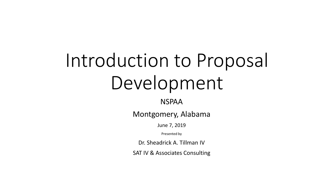# Introduction to Proposal Development

NSPAA

Montgomery, Alabama

June 7, 2019

Presented by

Dr. Sheadrick A. Tillman IV

SAT IV & Associates Consulting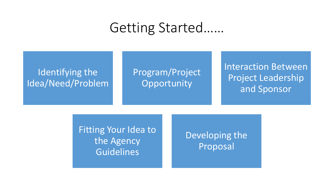#### Getting Started……

#### Identifying the Idea/Need/Problem

#### Program/Project **Opportunity**

Interaction Between Project Leadership and Sponsor

Fitting Your Idea to the Agency **Guidelines** 

#### Developing the Proposal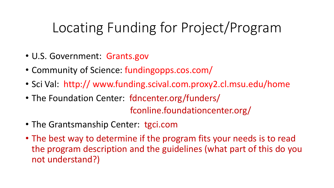# Locating Funding for Project/Program

- U.S. Government: Grants.gov
- Community of Science: fundingopps.cos.com/
- Sci Val: http:// www.funding.scival.com.proxy2.cl.msu.edu/home
- The Foundation Center: fdncenter.org/funders/ fconline.foundationcenter.org/
- The Grantsmanship Center: tgci.com
- The best way to determine if the program fits your needs is to read the program description and the guidelines (what part of this do you not understand?)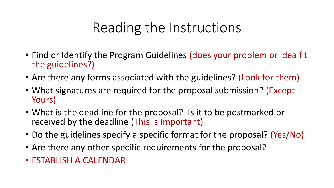#### Reading the Instructions

- Find or Identify the Program Guidelines (does your problem or idea fit the guidelines?)
- Are there any forms associated with the guidelines? (Look for them)
- What signatures are required for the proposal submission? (Except Yours)
- What is the deadline for the proposal? Is it to be postmarked or received by the deadline (This is Important)
- Do the guidelines specify a specific format for the proposal? (Yes/No)
- Are there any other specific requirements for the proposal?
- ESTABLISH A CALENDAR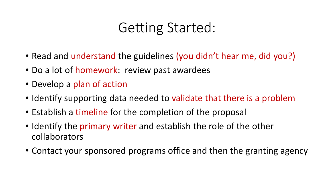#### Getting Started:

- Read and understand the guidelines (you didn't hear me, did you?)
- Do a lot of homework: review past awardees
- Develop a plan of action
- Identify supporting data needed to validate that there is a problem
- Establish a timeline for the completion of the proposal
- Identify the primary writer and establish the role of the other collaborators
- Contact your sponsored programs office and then the granting agency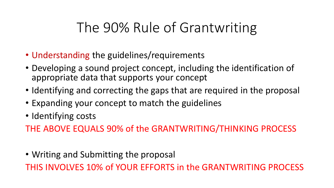### The 90% Rule of Grantwriting

- Understanding the guidelines/requirements
- Developing a sound project concept, including the identification of appropriate data that supports your concept
- Identifying and correcting the gaps that are required in the proposal
- Expanding your concept to match the guidelines
- Identifying costs

THE ABOVE EQUALS 90% of the GRANTWRITING/THINKING PROCESS

• Writing and Submitting the proposal

THIS INVOLVES 10% of YOUR EFFORTS in the GRANTWRITING PROCESS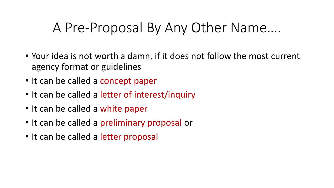#### A Pre-Proposal By Any Other Name….

- Your idea is not worth a damn, if it does not follow the most current agency format or guidelines
- It can be called a concept paper
- It can be called a letter of interest/inquiry
- It can be called a white paper
- It can be called a preliminary proposal or
- It can be called a letter proposal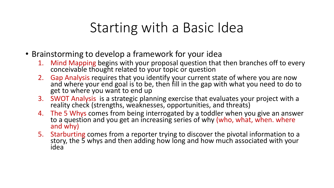#### Starting with a Basic Idea

- Brainstorming to develop a framework for your idea
	- 1. Mind Mapping begins with your proposal question that then branches off to every conceivable thought related to your topic or question
	- 2. Gap Analysis requires that you identify your current state of where you are now and where your end goal is to be, then fill in the gap with what you need to do to get to where you want to end up
	- 3. SWOT Analysis is a strategic planning exercise that evaluates your project with a reality check (strengths, weaknesses, opportunities, and threats)
	- 4. The 5 Whys comes from being interrogated by a toddler when you give an answer<br>to a question and you get an increasing series of why (who, what, when. where<br>and why)
	- 5. Starburting comes from a reporter trying to discover the pivotal information to a story, the 5 whys and then adding how long and how much associated with your idea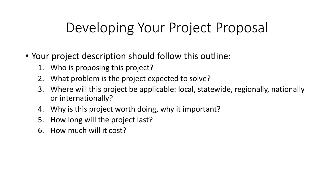### Developing Your Project Proposal

- Your project description should follow this outline:
	- 1. Who is proposing this project?
	- 2. What problem is the project expected to solve?
	- 3. Where will this project be applicable: local, statewide, regionally, nationally or internationally?
	- 4. Why is this project worth doing, why it important?
	- 5. How long will the project last?
	- 6. How much will it cost?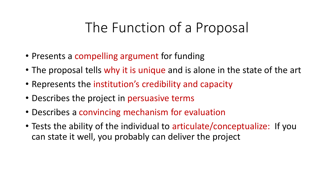#### The Function of a Proposal

- Presents a compelling argument for funding
- The proposal tells why it is unique and is alone in the state of the art
- Represents the institution's credibility and capacity
- Describes the project in persuasive terms
- Describes a convincing mechanism for evaluation
- Tests the ability of the individual to articulate/conceptualize: If you can state it well, you probably can deliver the project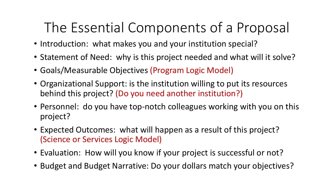# The Essential Components of a Proposal

- Introduction: what makes you and your institution special?
- Statement of Need: why is this project needed and what will it solve?
- Goals/Measurable Objectives (Program Logic Model)
- Organizational Support: is the institution willing to put its resources behind this project? (Do you need another institution?)
- Personnel: do you have top-notch colleagues working with you on this project?
- Expected Outcomes: what will happen as a result of this project? (Science or Services Logic Model)
- Evaluation: How will you know if your project is successful or not?
- Budget and Budget Narrative: Do your dollars match your objectives?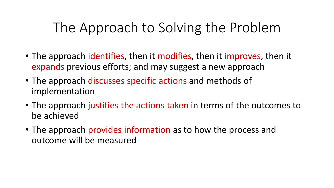### The Approach to Solving the Problem

- The approach identifies, then it modifies, then it improves, then it expands previous efforts; and may suggest a new approach
- The approach discusses specific actions and methods of implementation
- The approach justifies the actions taken in terms of the outcomes to be achieved
- The approach provides information as to how the process and outcome will be measured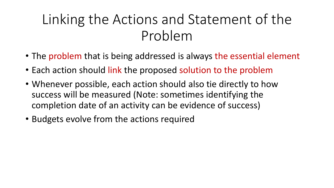# Linking the Actions and Statement of the Problem

- The problem that is being addressed is always the essential element
- Each action should link the proposed solution to the problem
- Whenever possible, each action should also tie directly to how success will be measured (Note: sometimes identifying the completion date of an activity can be evidence of success)
- Budgets evolve from the actions required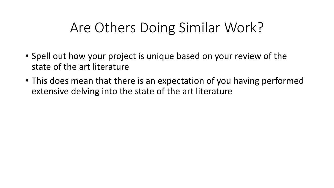#### Are Others Doing Similar Work?

- Spell out how your project is unique based on your review of the state of the art literature
- This does mean that there is an expectation of you having performed extensive delving into the state of the art literature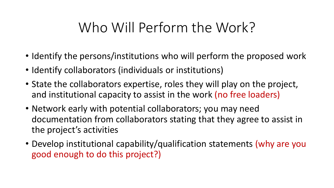### Who Will Perform the Work?

- Identify the persons/institutions who will perform the proposed work
- Identify collaborators (individuals or institutions)
- State the collaborators expertise, roles they will play on the project, and institutional capacity to assist in the work (no free loaders)
- Network early with potential collaborators; you may need documentation from collaborators stating that they agree to assist in the project's activities
- Develop institutional capability/qualification statements (why are you good enough to do this project?)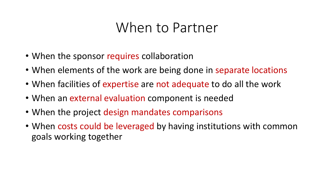#### When to Partner

- When the sponsor requires collaboration
- When elements of the work are being done in separate locations
- When facilities of expertise are not adequate to do all the work
- When an external evaluation component is needed
- When the project design mandates comparisons
- When costs could be leveraged by having institutions with common goals working together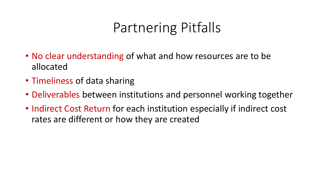#### Partnering Pitfalls

- No clear understanding of what and how resources are to be allocated
- Timeliness of data sharing
- Deliverables between institutions and personnel working together
- Indirect Cost Return for each institution especially if indirect cost rates are different or how they are created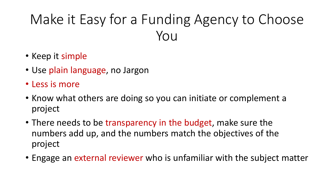# Make it Easy for a Funding Agency to Choose You

- Keep it simple
- Use plain language, no Jargon
- Less is more
- Know what others are doing so you can initiate or complement a project
- There needs to be transparency in the budget, make sure the numbers add up, and the numbers match the objectives of the project
- Engage an external reviewer who is unfamiliar with the subject matter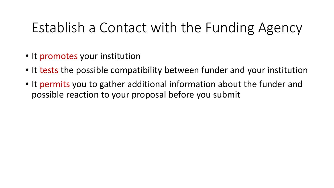### Establish a Contact with the Funding Agency

- It promotes your institution
- It tests the possible compatibility between funder and your institution
- It permits you to gather additional information about the funder and possible reaction to your proposal before you submit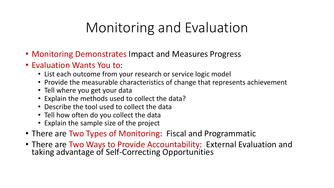# Monitoring and Evaluation

- Monitoring Demonstrates Impact and Measures Progress
- Evaluation Wants You to:
	- List each outcome from your research or service logic model
	- Provide the measurable characteristics of change that represents achievement
	- Tell where you get your data
	- Explain the methods used to collect the data?
	- Describe the tool used to collect the data
	- Tell how often do you collect the data
	- Explain the sample size of the project
- There are Two Types of Monitoring: Fiscal and Programmatic
- There are Two Ways to Provide Accountability: External Evaluation and taking advantage of Self-Correcting Opportunities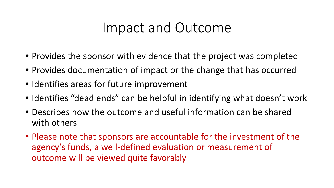#### Impact and Outcome

- Provides the sponsor with evidence that the project was completed
- Provides documentation of impact or the change that has occurred
- Identifies areas for future improvement
- Identifies "dead ends" can be helpful in identifying what doesn't work
- Describes how the outcome and useful information can be shared with others
- Please note that sponsors are accountable for the investment of the agency's funds, a well-defined evaluation or measurement of outcome will be viewed quite favorably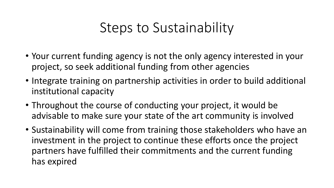#### Steps to Sustainability

- Your current funding agency is not the only agency interested in your project, so seek additional funding from other agencies
- Integrate training on partnership activities in order to build additional institutional capacity
- Throughout the course of conducting your project, it would be advisable to make sure your state of the art community is involved
- Sustainability will come from training those stakeholders who have an investment in the project to continue these efforts once the project partners have fulfilled their commitments and the current funding has expired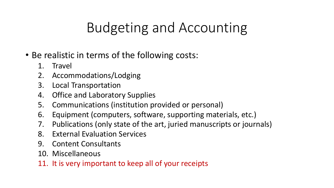# Budgeting and Accounting

- Be realistic in terms of the following costs:
	- 1. Travel
	- 2. Accommodations/Lodging
	- 3. Local Transportation
	- 4. Office and Laboratory Supplies
	- 5. Communications (institution provided or personal)
	- 6. Equipment (computers, software, supporting materials, etc.)
	- 7. Publications (only state of the art, juried manuscripts or journals)
	- 8. External Evaluation Services
	- 9. Content Consultants
	- 10. Miscellaneous
	- 11. It is very important to keep all of your receipts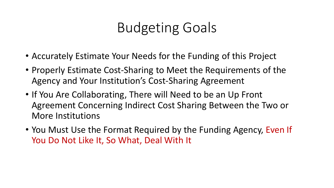### Budgeting Goals

- Accurately Estimate Your Needs for the Funding of this Project
- Properly Estimate Cost-Sharing to Meet the Requirements of the Agency and Your Institution's Cost-Sharing Agreement
- If You Are Collaborating, There will Need to be an Up Front Agreement Concerning Indirect Cost Sharing Between the Two or More Institutions
- You Must Use the Format Required by the Funding Agency, Even If You Do Not Like It, So What, Deal With It